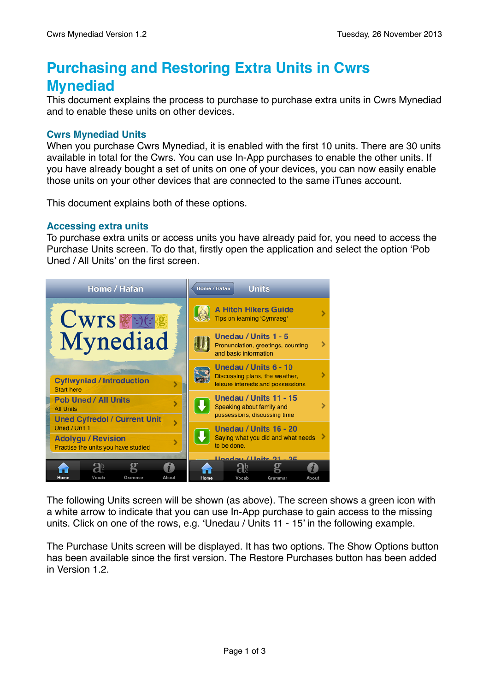# **Purchasing and Restoring Extra Units in Cwrs Mynediad**

This document explains the process to purchase to purchase extra units in Cwrs Mynediad and to enable these units on other devices.

## **Cwrs Mynediad Units**

When you purchase Cwrs Mynediad, it is enabled with the first 10 units. There are 30 units available in total for the Cwrs. You can use In-App purchases to enable the other units. If you have already bought a set of units on one of your devices, you can now easily enable those units on your other devices that are connected to the same iTunes account.

This document explains both of these options.

## **Accessing extra units**

To purchase extra units or access units you have already paid for, you need to access the Purchase Units screen. To do that, firstly open the application and select the option 'Pob Uned / All Units' on the first screen.



The following Units screen will be shown (as above). The screen shows a green icon with a white arrow to indicate that you can use In-App purchase to gain access to the missing units. Click on one of the rows, e.g. 'Unedau / Units 11 - 15' in the following example.

The Purchase Units screen will be displayed. It has two options. The Show Options button has been available since the first version. The Restore Purchases button has been added in Version 1.2.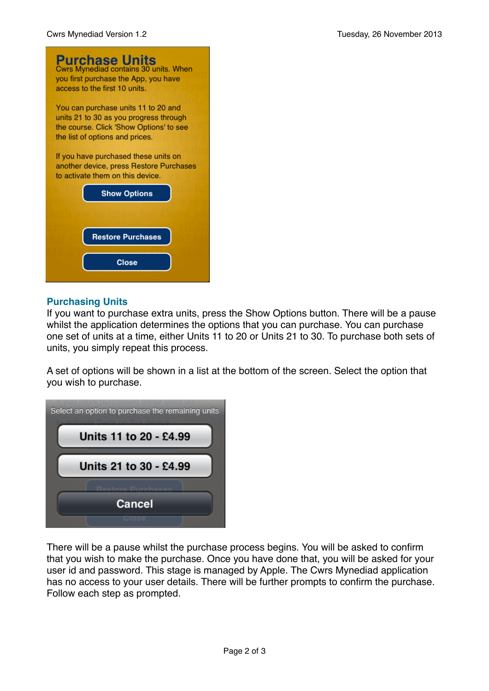

## **Purchasing Units**

If you want to purchase extra units, press the Show Options button. There will be a pause whilst the application determines the options that you can purchase. You can purchase one set of units at a time, either Units 11 to 20 or Units 21 to 30. To purchase both sets of units, you simply repeat this process.

A set of options will be shown in a list at the bottom of the screen. Select the option that you wish to purchase.



There will be a pause whilst the purchase process begins. You will be asked to confirm that you wish to make the purchase. Once you have done that, you will be asked for your user id and password. This stage is managed by Apple. The Cwrs Mynediad application has no access to your user details. There will be further prompts to confirm the purchase. Follow each step as prompted.